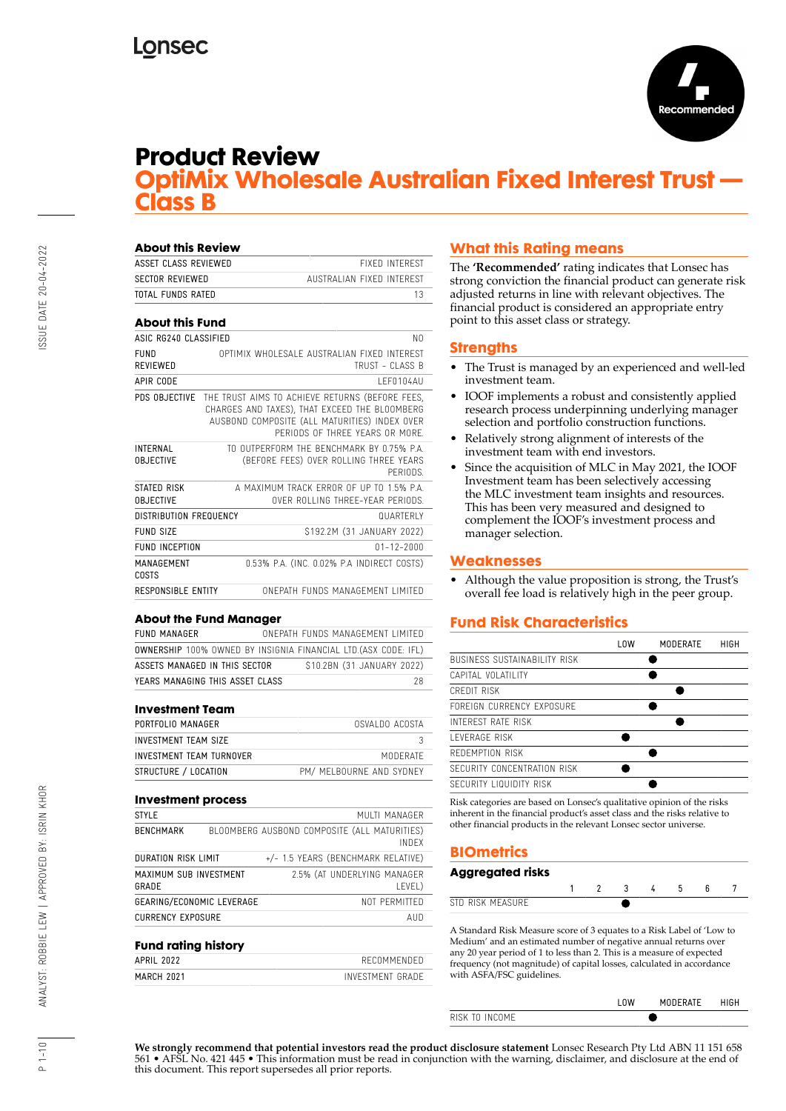

# **Product Review**

# **OptiMix Wholesale Australian Fixed Interest Trust — Class B**

| <b>About this Review</b>            |                                                                                                                                                                                     |          |
|-------------------------------------|-------------------------------------------------------------------------------------------------------------------------------------------------------------------------------------|----------|
| ASSET CLASS REVIEWED                | <b>FIXED INTEREST</b>                                                                                                                                                               |          |
| <b>SECTOR REVIEWED</b>              | AUSTRALIAN FIXED INTERFST                                                                                                                                                           |          |
| TOTAL FUNDS RATED                   |                                                                                                                                                                                     | 13       |
| <b>About this Fund</b>              |                                                                                                                                                                                     |          |
| ASIC RG240 CLASSIFIED               |                                                                                                                                                                                     | NΩ       |
| FUND<br><b>RFVIFWFD</b>             | OPTIMIX WHOI FSALE AUSTRALIAN FIXED INTEREST<br>TRUST - CLASS B                                                                                                                     |          |
| APIR CODE                           | <b>IFF0104AU</b>                                                                                                                                                                    |          |
| PDS OBJECTIVE                       | THE TRUST AIMS TO ACHIEVE RETURNS (BEFORE FEES,<br>CHARGES AND TAXES), THAT EXCEED THE BLOOMBERG<br>AUSBOND COMPOSITE (ALL MATURITIES) INDEX OVER<br>PERIODS OF THREE YEARS OR MORE |          |
| <b>INTERNAL</b><br><b>OBJECTIVE</b> | TO OUTPERFORM THE RENCHMARK BY 0.75% PA<br>(BEFORE FEES) OVER ROLLING THREE YEARS                                                                                                   | PFRIODS. |
| STATED RISK<br><b>OBJECTIVE</b>     | A MAXIMUM TRACK FRROR OF UP TO 1.5% P.A.<br>OVER ROILING THREE-YEAR PERIODS.                                                                                                        |          |
| <b>DISTRIBUTION FREQUENCY</b>       | <b>QUARTERLY</b>                                                                                                                                                                    |          |
| FUND SIZE                           | \$192.2M (31 JANUARY 2022)                                                                                                                                                          |          |
| <b>FUND INCEPTION</b>               | $01 - 12 - 2000$                                                                                                                                                                    |          |
| MANAGEMENT<br>COSTS                 | 0.53% P.A. (INC. 0.02% P.A INDIRECT COSTS)                                                                                                                                          |          |
| RESPONSIBLE ENTITY                  | ONFPATH FUNDS MANAGEMENT LIMITED                                                                                                                                                    |          |

#### **About the Fund Manager**

| FUND MANAGER |                                                                       |  | ONFPATH FUNDS MANAGEMENT LIMITED |    |
|--------------|-----------------------------------------------------------------------|--|----------------------------------|----|
|              | <b>OWNERSHIP 100% OWNED BY INSIGNIA FINANCIAL LTD.(ASX CODE: IFL)</b> |  |                                  |    |
|              | ASSETS MANAGED IN THIS SECTOR                                         |  | \$10.2BN (31 JANUARY 2022)       |    |
|              | YEARS MANAGING THIS ASSET CLASS                                       |  |                                  | 28 |

#### **Investment Team**

| OSVALDO ACOSTA           |
|--------------------------|
|                          |
| MODERATE                 |
| PM/ MELBOURNE AND SYDNEY |
|                          |

| <b>Investment process</b>       |  |                                                       |
|---------------------------------|--|-------------------------------------------------------|
| <b>STYLE</b>                    |  | MUITI MANAGER                                         |
| <b>BENCHMARK</b>                |  | BLOOMBERG AUSBOND COMPOSITE (ALL MATURITIES)<br>INDFX |
| <b>DURATION RISK LIMIT</b>      |  | +/- 1.5 YEARS (BENCHMARK RELATIVE)                    |
| MAXIMUM SUB INVESTMENT<br>GRADE |  | 2.5% (AT UNDERLYING MANAGER<br>LEVEL)                 |
| GEARING/ECONOMIC LEVERAGE       |  | NOT PERMITTED                                         |
| <b>CURRENCY EXPOSURE</b>        |  | AUD                                                   |
| <b>Fund rating history</b>      |  |                                                       |

#### **Fund rating history** APRIL 2022 RECOMMENDED MARCH 2021 **INVESTMENT GRADE**

# **What this Rating means**

The **'Recommended'** rating indicates that Lonsec has strong conviction the financial product can generate risk adjusted returns in line with relevant objectives. The financial product is considered an appropriate entry point to this asset class or strategy.

### **Strengths**

- The Trust is managed by an experienced and well-led investment team.
- IOOF implements a robust and consistently applied research process underpinning underlying manager selection and portfolio construction functions.
- Relatively strong alignment of interests of the investment team with end investors.
- Since the acquisition of MLC in May 2021, the IOOF Investment team has been selectively accessing the MLC investment team insights and resources. This has been very measured and designed to complement the IOOF's investment process and manager selection.

## **Weaknesses**

• Although the value proposition is strong, the Trust's overall fee load is relatively high in the peer group.

# **Fund Risk Characteristics**

|                              | LOW | MODERATE | HIGH |
|------------------------------|-----|----------|------|
| BUSINESS SUSTAINABILITY RISK |     |          |      |
| CAPITAL VOLATILITY           |     |          |      |
| CREDIT RISK                  |     |          |      |
| FORFIGN CURRENCY EXPOSURE    |     |          |      |
| INTEREST RATE RISK           |     |          |      |
| I FVFRAGF RISK               |     |          |      |
| REDEMPTION RISK              |     |          |      |
| SECURITY CONCENTRATION RISK  |     |          |      |
| SECURITY LIQUIDITY RISK      |     |          |      |
|                              |     |          |      |

Risk categories are based on Lonsec's qualitative opinion of the risks inherent in the financial product's asset class and the risks relative to other financial products in the relevant Lonsec sector universe.

# **BIOmetrics**

### **Aggregated risks**

| <b>DICK MEAC</b><br>∣∣ D L |  |  |  |  |
|----------------------------|--|--|--|--|

A Standard Risk Measure score of 3 equates to a Risk Label of 'Low to Medium' and an estimated number of negative annual returns over any 20 year period of 1 to less than 2. This is a measure of expected frequency (not magnitude) of capital losses, calculated in accordance with ASFA/FSC guidelines.

|             | <b>ERATE</b><br>MII |  |
|-------------|---------------------|--|
| m<br>INIC'I |                     |  |
|             |                     |  |

**We strongly recommend that potential investors read the product disclosure statement** Lonsec Research Pty Ltd ABN 11 151 658 561 • AFSL No. 421 445 • This information must be read in conjunction with the warning, disclaimer, and disclosure at the end of this document. This report supersedes all prior reports.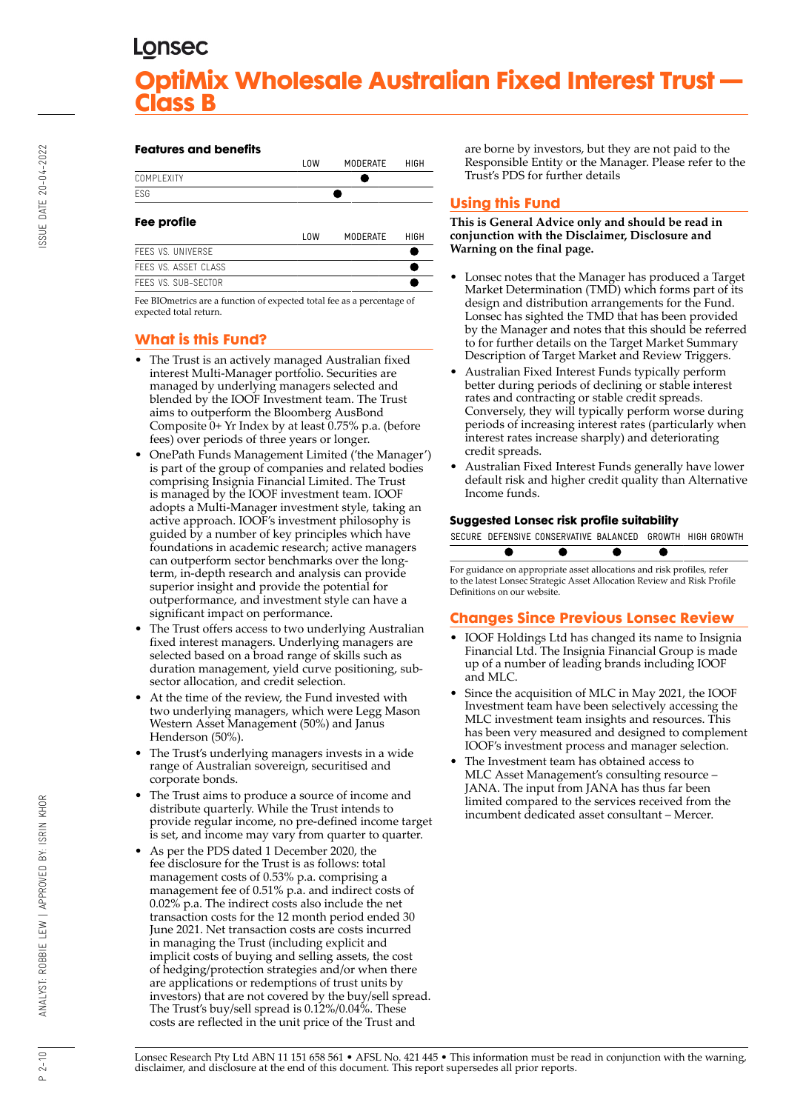#### **Features and benefits**

|                                                                                                                                                                                                                                                                                                  | LOW        | <b>MODERATE</b> | HIGH |
|--------------------------------------------------------------------------------------------------------------------------------------------------------------------------------------------------------------------------------------------------------------------------------------------------|------------|-----------------|------|
| COMPI FXITY                                                                                                                                                                                                                                                                                      |            |                 |      |
| <b>FSG</b>                                                                                                                                                                                                                                                                                       |            |                 |      |
| Fee profile                                                                                                                                                                                                                                                                                      |            |                 |      |
|                                                                                                                                                                                                                                                                                                  | <b>LOW</b> | <b>MODERATE</b> | HIGH |
| FFFS VS. UNIVERSE                                                                                                                                                                                                                                                                                |            |                 |      |
| FEES VS. ASSET CLASS                                                                                                                                                                                                                                                                             |            |                 |      |
| FEES VS. SUB-SECTOR                                                                                                                                                                                                                                                                              |            |                 |      |
| $\mathbf{r}$ and $\mathbf{r}$ and $\mathbf{r}$ and $\mathbf{r}$ and $\mathbf{r}$ and $\mathbf{r}$ and $\mathbf{r}$ and $\mathbf{r}$ and $\mathbf{r}$ and $\mathbf{r}$ and $\mathbf{r}$ and $\mathbf{r}$ and $\mathbf{r}$ and $\mathbf{r}$ and $\mathbf{r}$ and $\mathbf{r}$ and $\mathbf{r}$ and |            |                 |      |

Fee BIOmetrics are a function of expected total fee as a percentage of expected total return.

# **What is this Fund?**

- The Trust is an actively managed Australian fixed interest Multi-Manager portfolio. Securities are managed by underlying managers selected and blended by the IOOF Investment team. The Trust aims to outperform the Bloomberg AusBond Composite 0+ Yr Index by at least 0.75% p.a. (before fees) over periods of three years or longer.
- OnePath Funds Management Limited ('the Manager') is part of the group of companies and related bodies comprising Insignia Financial Limited. The Trust is managed by the IOOF investment team. IOOF adopts a Multi-Manager investment style, taking an active approach. IOOF's investment philosophy is guided by a number of key principles which have foundations in academic research; active managers can outperform sector benchmarks over the longterm, in-depth research and analysis can provide superior insight and provide the potential for outperformance, and investment style can have a significant impact on performance.
- The Trust offers access to two underlying Australian fixed interest managers. Underlying managers are selected based on a broad range of skills such as duration management, yield curve positioning, subsector allocation, and credit selection.
- At the time of the review, the Fund invested with two underlying managers, which were Legg Mason Western Asset Management (50%) and Janus Henderson (50%).
- The Trust's underlying managers invests in a wide range of Australian sovereign, securitised and corporate bonds.
- The Trust aims to produce a source of income and distribute quarterly. While the Trust intends to provide regular income, no pre-defined income target is set, and income may vary from quarter to quarter.
- As per the PDS dated 1 December 2020, the fee disclosure for the Trust is as follows: total management costs of 0.53% p.a. comprising a management fee of 0.51% p.a. and indirect costs of 0.02% p.a. The indirect costs also include the net transaction costs for the 12 month period ended 30 June 2021. Net transaction costs are costs incurred in managing the Trust (including explicit and implicit costs of buying and selling assets, the cost of hedging/protection strategies and/or when there are applications or redemptions of trust units by investors) that are not covered by the buy/sell spread. The Trust's buy/sell spread is 0.12%/0.04%. These costs are reflected in the unit price of the Trust and

are borne by investors, but they are not paid to the Responsible Entity or the Manager. Please refer to the Trust's PDS for further details

# **Using this Fund**

**This is General Advice only and should be read in conjunction with the Disclaimer, Disclosure and Warning on the final page.**

- Lonsec notes that the Manager has produced a Target Market Determination (TMD) which forms part of its design and distribution arrangements for the Fund. Lonsec has sighted the TMD that has been provided by the Manager and notes that this should be referred to for further details on the Target Market Summary Description of Target Market and Review Triggers.
- Australian Fixed Interest Funds typically perform better during periods of declining or stable interest rates and contracting or stable credit spreads. Conversely, they will typically perform worse during periods of increasing interest rates (particularly when interest rates increase sharply) and deteriorating credit spreads.
- Australian Fixed Interest Funds generally have lower default risk and higher credit quality than Alternative Income funds.

#### **Suggested Lonsec risk profile suitability**

|  | SECURE DEFENSIVE CONSERVATIVE BALANCED GROWTH HIGH GROWTH |  |  |
|--|-----------------------------------------------------------|--|--|
|  |                                                           |  |  |

For guidance on appropriate asset allocations and risk profiles, refer to the latest Lonsec Strategic Asset Allocation Review and Risk Profile Definitions on our website.

## **Changes Since Previous Lonsec Review**

- IOOF Holdings Ltd has changed its name to Insignia Financial Ltd. The Insignia Financial Group is made up of a number of leading brands including IOOF and MLC.
- Since the acquisition of MLC in May 2021, the IOOF Investment team have been selectively accessing the MLC investment team insights and resources. This has been very measured and designed to complement IOOF's investment process and manager selection.
- The Investment team has obtained access to MLC Asset Management's consulting resource – JANA. The input from JANA has thus far been limited compared to the services received from the incumbent dedicated asset consultant – Mercer.

Lonsec Research Pty Ltd ABN 11 151 658 561 • AFSL No. 421 445 • This information must be read in conjunction with the warning, disclaimer, and disclosure at the end of this document. This report supersedes all prior reports.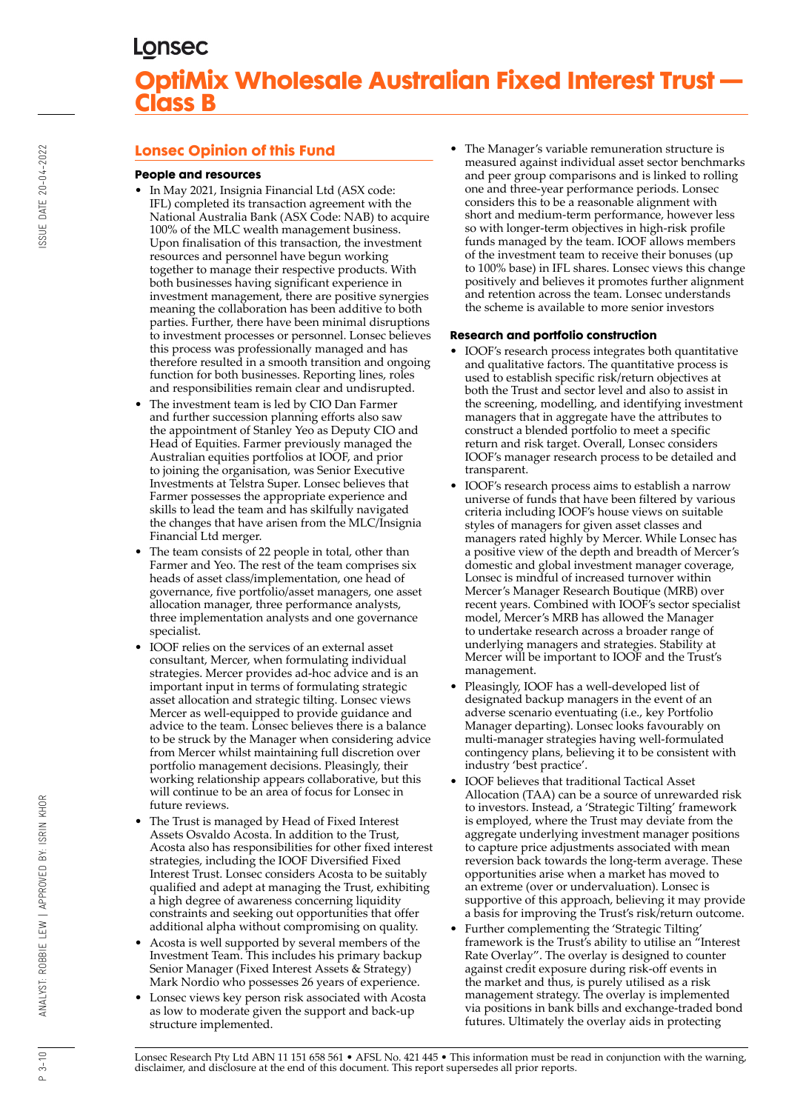# **Lonsec Opinion of this Fund**

### **People and resources**

- In May 2021, Insignia Financial Ltd (ASX code: IFL) completed its transaction agreement with the National Australia Bank (ASX Code: NAB) to acquire 100% of the MLC wealth management business. Upon finalisation of this transaction, the investment resources and personnel have begun working together to manage their respective products. With both businesses having significant experience in investment management, there are positive synergies meaning the collaboration has been additive to both parties. Further, there have been minimal disruptions to investment processes or personnel. Lonsec believes this process was professionally managed and has therefore resulted in a smooth transition and ongoing function for both businesses. Reporting lines, roles and responsibilities remain clear and undisrupted.
- The investment team is led by CIO Dan Farmer and further succession planning efforts also saw the appointment of Stanley Yeo as Deputy CIO and Head of Equities. Farmer previously managed the Australian equities portfolios at IOOF, and prior to joining the organisation, was Senior Executive Investments at Telstra Super. Lonsec believes that Farmer possesses the appropriate experience and skills to lead the team and has skilfully navigated the changes that have arisen from the MLC/Insignia Financial Ltd merger.
- The team consists of 22 people in total, other than Farmer and Yeo. The rest of the team comprises six heads of asset class/implementation, one head of governance, five portfolio/asset managers, one asset allocation manager, three performance analysts, three implementation analysts and one governance specialist.
- IOOF relies on the services of an external asset consultant, Mercer, when formulating individual strategies. Mercer provides ad-hoc advice and is an important input in terms of formulating strategic asset allocation and strategic tilting. Lonsec views Mercer as well-equipped to provide guidance and advice to the team. Lonsec believes there is a balance to be struck by the Manager when considering advice from Mercer whilst maintaining full discretion over portfolio management decisions. Pleasingly, their working relationship appears collaborative, but this will continue to be an area of focus for Lonsec in future reviews.
- The Trust is managed by Head of Fixed Interest Assets Osvaldo Acosta. In addition to the Trust, Acosta also has responsibilities for other fixed interest strategies, including the IOOF Diversified Fixed Interest Trust. Lonsec considers Acosta to be suitably qualified and adept at managing the Trust, exhibiting a high degree of awareness concerning liquidity constraints and seeking out opportunities that offer additional alpha without compromising on quality.
- Acosta is well supported by several members of the Investment Team. This includes his primary backup Senior Manager (Fixed Interest Assets & Strategy) Mark Nordio who possesses 26 years of experience.
- Lonsec views key person risk associated with Acosta as low to moderate given the support and back-up structure implemented.

• The Manager's variable remuneration structure is measured against individual asset sector benchmarks and peer group comparisons and is linked to rolling one and three-year performance periods. Lonsec considers this to be a reasonable alignment with short and medium-term performance, however less so with longer-term objectives in high-risk profile funds managed by the team. IOOF allows members of the investment team to receive their bonuses (up to 100% base) in IFL shares. Lonsec views this change positively and believes it promotes further alignment and retention across the team. Lonsec understands the scheme is available to more senior investors

## **Research and portfolio construction**

- IOOF's research process integrates both quantitative and qualitative factors. The quantitative process is used to establish specific risk/return objectives at both the Trust and sector level and also to assist in the screening, modelling, and identifying investment managers that in aggregate have the attributes to construct a blended portfolio to meet a specific return and risk target. Overall, Lonsec considers IOOF's manager research process to be detailed and transparent.
- IOOF's research process aims to establish a narrow universe of funds that have been filtered by various criteria including IOOF's house views on suitable styles of managers for given asset classes and managers rated highly by Mercer. While Lonsec has a positive view of the depth and breadth of Mercer's domestic and global investment manager coverage, Lonsec is mindful of increased turnover within Mercer's Manager Research Boutique (MRB) over recent years. Combined with IOOF's sector specialist model, Mercer's MRB has allowed the Manager to undertake research across a broader range of underlying managers and strategies. Stability at Mercer will be important to IOOF and the Trust's management.
- Pleasingly, IOOF has a well-developed list of designated backup managers in the event of an adverse scenario eventuating (i.e., key Portfolio Manager departing). Lonsec looks favourably on multi-manager strategies having well-formulated contingency plans, believing it to be consistent with industry 'best practice'.
- IOOF believes that traditional Tactical Asset Allocation (TAA) can be a source of unrewarded risk to investors. Instead, a 'Strategic Tilting' framework is employed, where the Trust may deviate from the aggregate underlying investment manager positions to capture price adjustments associated with mean reversion back towards the long-term average. These opportunities arise when a market has moved to an extreme (over or undervaluation). Lonsec is supportive of this approach, believing it may provide a basis for improving the Trust's risk/return outcome.
- Further complementing the 'Strategic Tilting' framework is the Trust's ability to utilise an "Interest Rate Overlay". The overlay is designed to counter against credit exposure during risk-off events in the market and thus, is purely utilised as a risk management strategy. The overlay is implemented via positions in bank bills and exchange-traded bond futures. Ultimately the overlay aids in protecting

Lonsec Research Pty Ltd ABN 11 151 658 561 • AFSL No. 421 445 • This information must be read in conjunction with the warning, disclaimer, and disclosure at the end of this document. This report supersedes all prior reports.

 $P_3 - 10$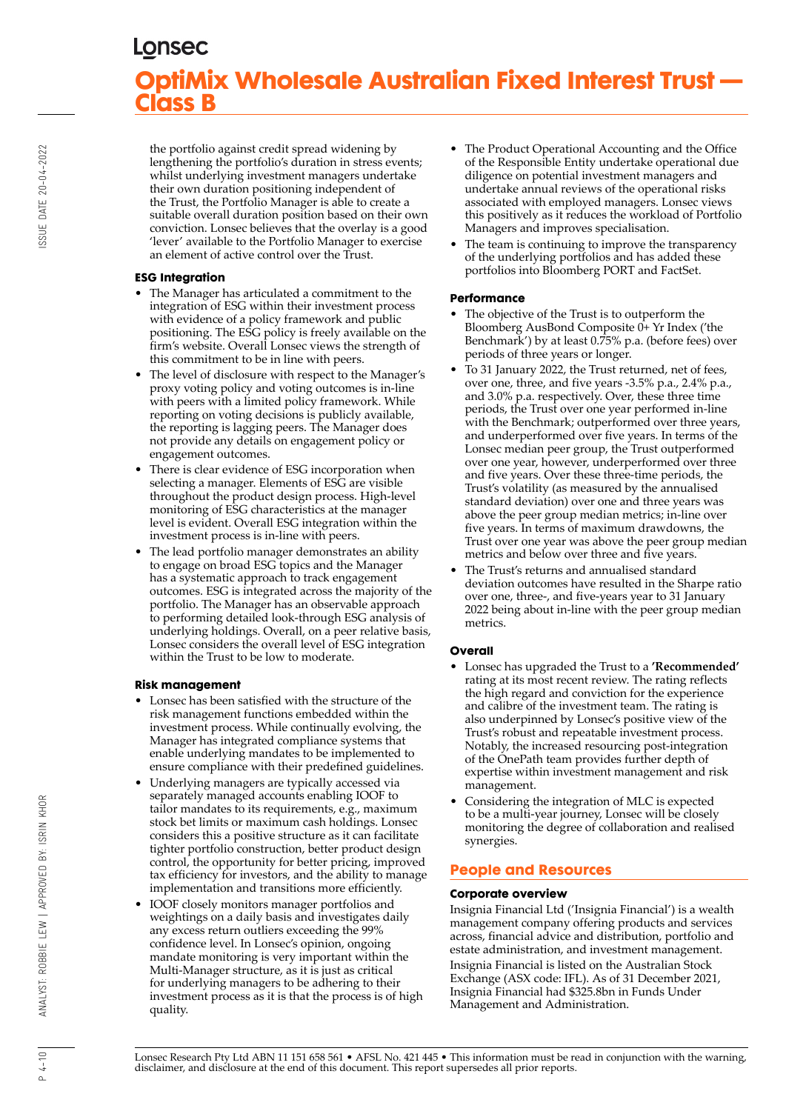the portfolio against credit spread widening by lengthening the portfolio's duration in stress events; whilst underlying investment managers undertake their own duration positioning independent of the Trust, the Portfolio Manager is able to create a suitable overall duration position based on their own conviction. Lonsec believes that the overlay is a good 'lever' available to the Portfolio Manager to exercise an element of active control over the Trust.

### **ESG Integration**

- The Manager has articulated a commitment to the integration of ESG within their investment process with evidence of a policy framework and public positioning. The ESG policy is freely available on the firm's website. Overall Lonsec views the strength of this commitment to be in line with peers.
- The level of disclosure with respect to the Manager's proxy voting policy and voting outcomes is in-line with peers with a limited policy framework. While reporting on voting decisions is publicly available, the reporting is lagging peers. The Manager does not provide any details on engagement policy or engagement outcomes.
- There is clear evidence of ESG incorporation when selecting a manager. Elements of ESG are visible throughout the product design process. High-level monitoring of ESG characteristics at the manager level is evident. Overall ESG integration within the investment process is in-line with peers.
- The lead portfolio manager demonstrates an ability to engage on broad ESG topics and the Manager has a systematic approach to track engagement outcomes. ESG is integrated across the majority of the portfolio. The Manager has an observable approach to performing detailed look-through ESG analysis of underlying holdings. Overall, on a peer relative basis, Lonsec considers the overall level of ESG integration within the Trust to be low to moderate.

## **Risk management**

- Lonsec has been satisfied with the structure of the risk management functions embedded within the investment process. While continually evolving, the Manager has integrated compliance systems that enable underlying mandates to be implemented to ensure compliance with their predefined guidelines.
- Underlying managers are typically accessed via separately managed accounts enabling IOOF to tailor mandates to its requirements, e.g., maximum stock bet limits or maximum cash holdings. Lonsec considers this a positive structure as it can facilitate tighter portfolio construction, better product design control, the opportunity for better pricing, improved tax efficiency for investors, and the ability to manage implementation and transitions more efficiently.
- IOOF closely monitors manager portfolios and weightings on a daily basis and investigates daily any excess return outliers exceeding the 99% confidence level. In Lonsec's opinion, ongoing mandate monitoring is very important within the Multi-Manager structure, as it is just as critical for underlying managers to be adhering to their investment process as it is that the process is of high quality.
- The Product Operational Accounting and the Office of the Responsible Entity undertake operational due diligence on potential investment managers and undertake annual reviews of the operational risks associated with employed managers. Lonsec views this positively as it reduces the workload of Portfolio Managers and improves specialisation.
- The team is continuing to improve the transparency of the underlying portfolios and has added these portfolios into Bloomberg PORT and FactSet.

## **Performance**

- The objective of the Trust is to outperform the Bloomberg AusBond Composite 0+ Yr Index ('the Benchmark') by at least 0.75% p.a. (before fees) over periods of three years or longer.
- To 31 January 2022, the Trust returned, net of fees, over one, three, and five years -3.5% p.a., 2.4% p.a., and 3.0% p.a. respectively. Over, these three time periods, the Trust over one year performed in-line with the Benchmark; outperformed over three years, and underperformed over five years. In terms of the Lonsec median peer group, the Trust outperformed over one year, however, underperformed over three and five years. Over these three-time periods, the Trust's volatility (as measured by the annualised standard deviation) over one and three years was above the peer group median metrics; in-line over five years. In terms of maximum drawdowns, the Trust over one year was above the peer group median metrics and below over three and five years.
- The Trust's returns and annualised standard deviation outcomes have resulted in the Sharpe ratio over one, three-, and five-years year to 31 January 2022 being about in-line with the peer group median metrics.

## **Overall**

- Lonsec has upgraded the Trust to a **'Recommended'** rating at its most recent review. The rating reflects the high regard and conviction for the experience and calibre of the investment team. The rating is also underpinned by Lonsec's positive view of the Trust's robust and repeatable investment process. Notably, the increased resourcing post-integration of the OnePath team provides further depth of expertise within investment management and risk management.
- Considering the integration of MLC is expected to be a multi-year journey, Lonsec will be closely monitoring the degree of collaboration and realised synergies.

# **People and Resources**

## **Corporate overview**

Insignia Financial Ltd ('Insignia Financial') is a wealth management company offering products and services across, financial advice and distribution, portfolio and estate administration, and investment management. Insignia Financial is listed on the Australian Stock Exchange (ASX code: IFL). As of 31 December 2021, Insignia Financial had \$325.8bn in Funds Under Management and Administration.

ANALYST: ROBBIE LEW | APPROVED BY: ISRIN KHOR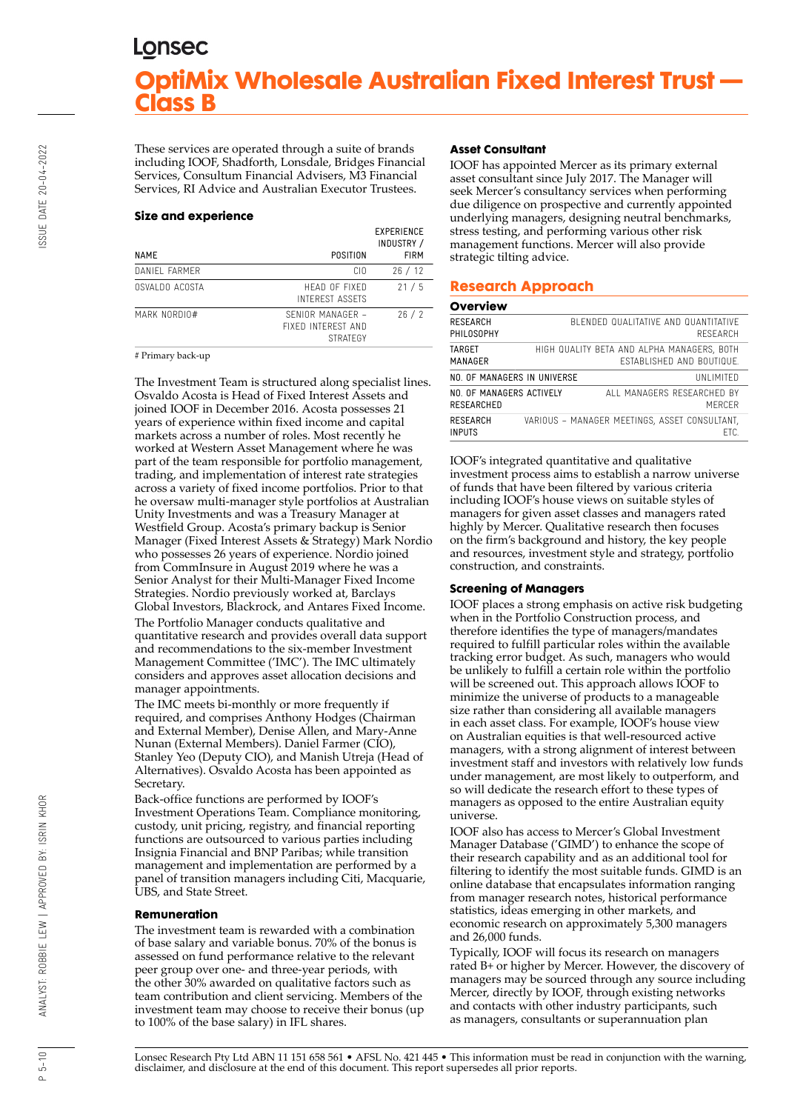These services are operated through a suite of brands including IOOF, Shadforth, Lonsdale, Bridges Financial Services, Consultum Financial Advisers, M3 Financial Services, RI Advice and Australian Executor Trustees.

#### **Size and experience**

| <b>NAME</b>    | POSITION                                                  | EXPERIENCE<br>INDUSTRY /<br><b>FIRM</b> |
|----------------|-----------------------------------------------------------|-----------------------------------------|
| DANIEL FARMER  | CIO.                                                      | 26/12                                   |
| OSVALDO ACOSTA | HEAD OF FIXED<br><b>INTEREST ASSETS</b>                   | 21/5                                    |
| MARK NORDIO#   | SENIOR MANAGER -<br>FIXED INTEREST AND<br><b>STRATEGY</b> | 26/2                                    |

# Primary back-up

The Investment Team is structured along specialist lines. Osvaldo Acosta is Head of Fixed Interest Assets and joined IOOF in December 2016. Acosta possesses 21 years of experience within fixed income and capital markets across a number of roles. Most recently he worked at Western Asset Management where he was part of the team responsible for portfolio management, trading, and implementation of interest rate strategies across a variety of fixed income portfolios. Prior to that he oversaw multi-manager style portfolios at Australian Unity Investments and was a Treasury Manager at Westfield Group. Acosta's primary backup is Senior Manager (Fixed Interest Assets & Strategy) Mark Nordio who possesses 26 years of experience. Nordio joined from CommInsure in August 2019 where he was a Senior Analyst for their Multi-Manager Fixed Income Strategies. Nordio previously worked at, Barclays Global Investors, Blackrock, and Antares Fixed Income. The Portfolio Manager conducts qualitative and quantitative research and provides overall data support and recommendations to the six-member Investment Management Committee ('IMC'). The IMC ultimately considers and approves asset allocation decisions and manager appointments.

The IMC meets bi-monthly or more frequently if required, and comprises Anthony Hodges (Chairman and External Member), Denise Allen, and Mary-Anne Nunan (External Members). Daniel Farmer (CIO), Stanley Yeo (Deputy CIO), and Manish Utreja (Head of Alternatives). Osvaldo Acosta has been appointed as Secretary.

Back-office functions are performed by IOOF's Investment Operations Team. Compliance monitoring, custody, unit pricing, registry, and financial reporting functions are outsourced to various parties including Insignia Financial and BNP Paribas; while transition management and implementation are performed by a panel of transition managers including Citi, Macquarie, UBS, and State Street.

#### **Remuneration**

The investment team is rewarded with a combination of base salary and variable bonus. 70% of the bonus is assessed on fund performance relative to the relevant peer group over one- and three-year periods, with the other 30% awarded on qualitative factors such as team contribution and client servicing. Members of the investment team may choose to receive their bonus (up to 100% of the base salary) in IFL shares.

#### **Asset Consultant**

IOOF has appointed Mercer as its primary external asset consultant since July 2017. The Manager will seek Mercer's consultancy services when performing due diligence on prospective and currently appointed underlying managers, designing neutral benchmarks, stress testing, and performing various other risk management functions. Mercer will also provide strategic tilting advice.

# **Research Approach**

#### **Overview**

| RESEARCH<br>PHILOSOPHY                 |  | BI FNDED QUALITATIVE AND QUANTITATIVE<br>RESEARCH                       |
|----------------------------------------|--|-------------------------------------------------------------------------|
| TARGET<br>MANAGER                      |  | HIGH QUALITY BETA AND ALPHA MANAGERS. BOTH<br>FSTABLISHED AND BOUTIQUE. |
| NO. OF MANAGERS IN UNIVERSE            |  | UNI IMITED                                                              |
| NO. OF MANAGERS ACTIVELY<br>RESEARCHED |  | ALL MANAGERS RESEARCHED BY<br>MFRCFR                                    |
| RESEARCH<br><b>INPUTS</b>              |  | VARIOUS - MANAGER MEETINGS, ASSET CONSULTANT.<br>FTC.                   |

IOOF's integrated quantitative and qualitative investment process aims to establish a narrow universe of funds that have been filtered by various criteria including IOOF's house views on suitable styles of managers for given asset classes and managers rated highly by Mercer. Qualitative research then focuses on the firm's background and history, the key people and resources, investment style and strategy, portfolio construction, and constraints.

#### **Screening of Managers**

IOOF places a strong emphasis on active risk budgeting when in the Portfolio Construction process, and therefore identifies the type of managers/mandates required to fulfill particular roles within the available tracking error budget. As such, managers who would be unlikely to fulfill a certain role within the portfolio will be screened out. This approach allows IOOF to minimize the universe of products to a manageable size rather than considering all available managers in each asset class. For example, IOOF's house view on Australian equities is that well-resourced active managers, with a strong alignment of interest between investment staff and investors with relatively low funds under management, are most likely to outperform, and so will dedicate the research effort to these types of managers as opposed to the entire Australian equity universe.

IOOF also has access to Mercer's Global Investment Manager Database ('GIMD') to enhance the scope of their research capability and as an additional tool for filtering to identify the most suitable funds. GIMD is an online database that encapsulates information ranging from manager research notes, historical performance statistics, ideas emerging in other markets, and economic research on approximately 5,300 managers and 26,000 funds.

Typically, IOOF will focus its research on managers rated B+ or higher by Mercer. However, the discovery of managers may be sourced through any source including Mercer, directly by IOOF, through existing networks and contacts with other industry participants, such as managers, consultants or superannuation plan

Lonsec Research Pty Ltd ABN 11 151 658 561 • AFSL No. 421 445 • This information must be read in conjunction with the warning, disclaimer, and disclosure at the end of this document. This report supersedes all prior reports.

 $P 5 - 10$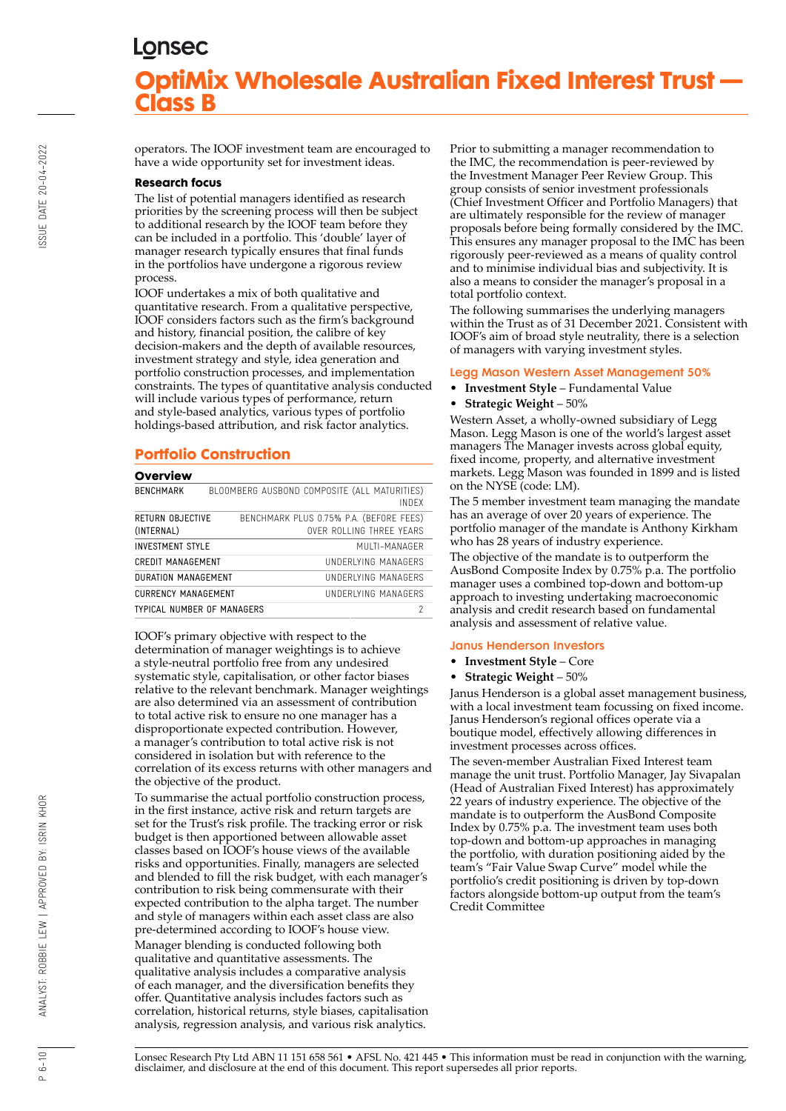operators. The IOOF investment team are encouraged to have a wide opportunity set for investment ideas.

#### **Research focus**

The list of potential managers identified as research priorities by the screening process will then be subject to additional research by the IOOF team before they can be included in a portfolio. This 'double' layer of manager research typically ensures that final funds in the portfolios have undergone a rigorous review process.

IOOF undertakes a mix of both qualitative and quantitative research. From a qualitative perspective, IOOF considers factors such as the firm's background and history, financial position, the calibre of key decision-makers and the depth of available resources, investment strategy and style, idea generation and portfolio construction processes, and implementation constraints. The types of quantitative analysis conducted will include various types of performance, return and style-based analytics, various types of portfolio holdings-based attribution, and risk factor analytics.

# **Portfolio Construction**

#### **Overview**

| --------                       |                                                                     |
|--------------------------------|---------------------------------------------------------------------|
| <b>BENCHMARK</b>               | BLOOMBERG AUSBOND COMPOSITE (ALL MATURITIES)<br>INDEX               |
| RETURN OBJECTIVE<br>(INTERNAL) | BENCHMARK PLUS 0.75% P.A. (BEFORE FEES)<br>OVER ROLLING THREE YEARS |
| <b>INVESTMENT STYLE</b>        | MUITI-MANAGER                                                       |
| CREDIT MANAGEMENT              | UNDERLYING MANAGERS                                                 |
| DURATION MANAGEMENT            | UNDERLYING MANAGERS                                                 |
| <b>CURRENCY MANAGEMENT</b>     | UNDERLYING MANAGERS                                                 |
| TYPICAL NUMBER OF MANAGERS     | 2                                                                   |
|                                |                                                                     |

IOOF's primary objective with respect to the determination of manager weightings is to achieve a style-neutral portfolio free from any undesired systematic style, capitalisation, or other factor biases relative to the relevant benchmark. Manager weightings are also determined via an assessment of contribution to total active risk to ensure no one manager has a disproportionate expected contribution. However, a manager's contribution to total active risk is not considered in isolation but with reference to the correlation of its excess returns with other managers and the objective of the product.

To summarise the actual portfolio construction process, in the first instance, active risk and return targets are set for the Trust's risk profile. The tracking error or risk budget is then apportioned between allowable asset classes based on IOOF's house views of the available risks and opportunities. Finally, managers are selected and blended to fill the risk budget, with each manager's contribution to risk being commensurate with their expected contribution to the alpha target. The number and style of managers within each asset class are also pre-determined according to IOOF's house view. Manager blending is conducted following both qualitative and quantitative assessments. The qualitative analysis includes a comparative analysis of each manager, and the diversification benefits they offer. Quantitative analysis includes factors such as correlation, historical returns, style biases, capitalisation analysis, regression analysis, and various risk analytics.

Prior to submitting a manager recommendation to the IMC, the recommendation is peer-reviewed by the Investment Manager Peer Review Group. This group consists of senior investment professionals (Chief Investment Officer and Portfolio Managers) that are ultimately responsible for the review of manager proposals before being formally considered by the IMC. This ensures any manager proposal to the IMC has been rigorously peer-reviewed as a means of quality control and to minimise individual bias and subjectivity. It is also a means to consider the manager's proposal in a total portfolio context.

The following summarises the underlying managers within the Trust as of 31 December 2021. Consistent with IOOF's aim of broad style neutrality, there is a selection of managers with varying investment styles.

#### Legg Mason Western Asset Management 50%

- **Investment Style** Fundamental Value
- **Strategic Weight** 50%

Western Asset, a wholly-owned subsidiary of Legg Mason. Legg Mason is one of the world's largest asset managers The Manager invests across global equity, fixed income, property, and alternative investment markets. Legg Mason was founded in 1899 and is listed on the NYSE (code: LM).

The 5 member investment team managing the mandate has an average of over 20 years of experience. The portfolio manager of the mandate is Anthony Kirkham who has 28 years of industry experience.

The objective of the mandate is to outperform the AusBond Composite Index by 0.75% p.a. The portfolio manager uses a combined top-down and bottom-up approach to investing undertaking macroeconomic analysis and credit research based on fundamental analysis and assessment of relative value.

#### Janus Henderson Investors

- **Investment Style** Core
- **Strategic Weight** 50%

Janus Henderson is a global asset management business, with a local investment team focussing on fixed income. Janus Henderson's regional offices operate via a boutique model, effectively allowing differences in investment processes across offices.

The seven-member Australian Fixed Interest team manage the unit trust. Portfolio Manager, Jay Sivapalan (Head of Australian Fixed Interest) has approximately 22 years of industry experience. The objective of the mandate is to outperform the AusBond Composite Index by 0.75% p.a. The investment team uses both top-down and bottom-up approaches in managing the portfolio, with duration positioning aided by the team's "Fair Value Swap Curve" model while the portfolio's credit positioning is driven by top-down factors alongside bottom-up output from the team's Credit Committee

Lonsec Research Pty Ltd ABN 11 151 658 561 • AFSL No. 421 445 • This information must be read in conjunction with the warning, disclaimer, and disclosure at the end of this document. This report supersedes all prior reports.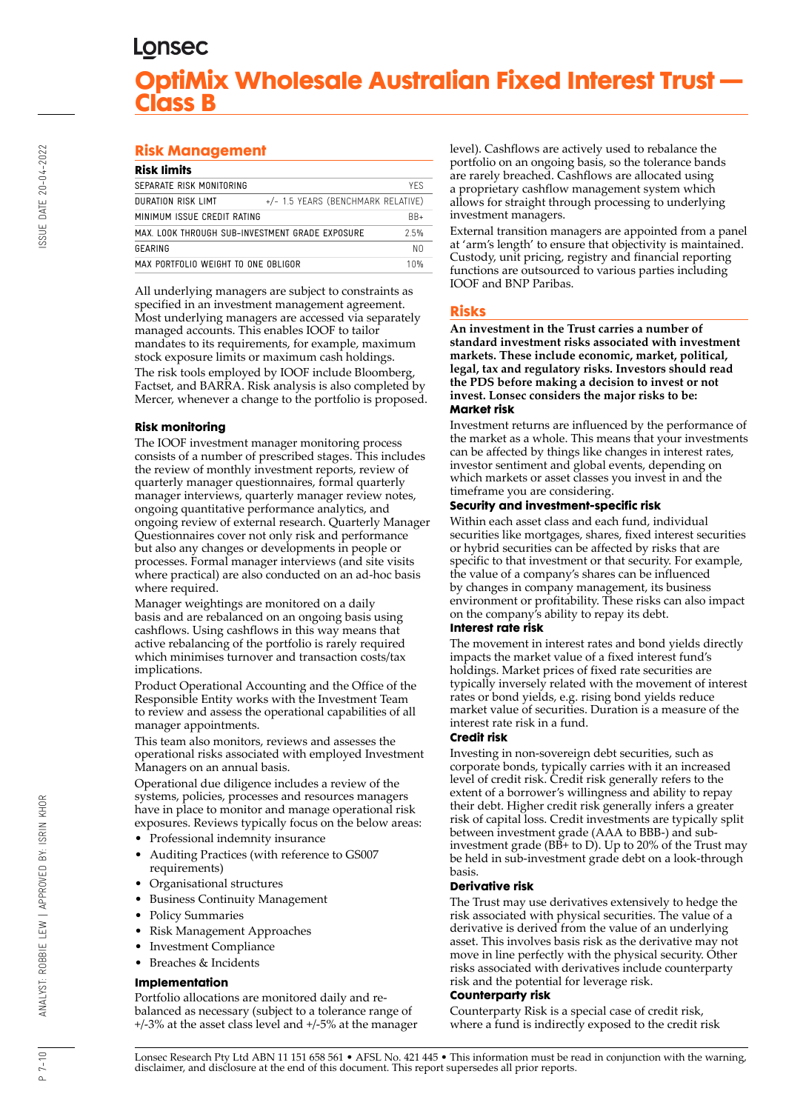# **Risk Management**

| <b>Risk limits</b>                              |                                    |            |  |  |  |  |
|-------------------------------------------------|------------------------------------|------------|--|--|--|--|
| SEPARATE RISK MONITORING                        |                                    | <b>YFS</b> |  |  |  |  |
| DURATION RISK LIMT                              | +/- 1.5 YEARS (BENCHMARK RELATIVE) |            |  |  |  |  |
| MINIMUM ISSUE CREDIT RATING                     | $BB+$                              |            |  |  |  |  |
| MAX. LOOK THROUGH SUB-INVESTMENT GRADE EXPOSURE | 2.5%                               |            |  |  |  |  |
| GEARING                                         |                                    | NΩ         |  |  |  |  |
| MAX PORTFOLIO WEIGHT TO ONE OBLIGOR             | $10\%$                             |            |  |  |  |  |
|                                                 |                                    |            |  |  |  |  |

All underlying managers are subject to constraints as specified in an investment management agreement. Most underlying managers are accessed via separately managed accounts. This enables IOOF to tailor mandates to its requirements, for example, maximum stock exposure limits or maximum cash holdings. The risk tools employed by IOOF include Bloomberg, Factset, and BARRA. Risk analysis is also completed by Mercer, whenever a change to the portfolio is proposed.

## **Risk monitoring**

The IOOF investment manager monitoring process consists of a number of prescribed stages. This includes the review of monthly investment reports, review of quarterly manager questionnaires, formal quarterly manager interviews, quarterly manager review notes, ongoing quantitative performance analytics, and ongoing review of external research. Quarterly Manager Questionnaires cover not only risk and performance but also any changes or developments in people or processes. Formal manager interviews (and site visits where practical) are also conducted on an ad-hoc basis where required.

Manager weightings are monitored on a daily basis and are rebalanced on an ongoing basis using cashflows. Using cashflows in this way means that active rebalancing of the portfolio is rarely required which minimises turnover and transaction costs/tax implications.

Product Operational Accounting and the Office of the Responsible Entity works with the Investment Team to review and assess the operational capabilities of all manager appointments.

This team also monitors, reviews and assesses the operational risks associated with employed Investment Managers on an annual basis.

Operational due diligence includes a review of the systems, policies, processes and resources managers have in place to monitor and manage operational risk exposures. Reviews typically focus on the below areas:

- Professional indemnity insurance
- Auditing Practices (with reference to GS007 requirements)
- Organisational structures
- Business Continuity Management
- Policy Summaries
- Risk Management Approaches
- Investment Compliance
- Breaches & Incidents

### **Implementation**

Portfolio allocations are monitored daily and rebalanced as necessary (subject to a tolerance range of +/-3% at the asset class level and +/-5% at the manager level). Cashflows are actively used to rebalance the portfolio on an ongoing basis, so the tolerance bands are rarely breached. Cashflows are allocated using a proprietary cashflow management system which allows for straight through processing to underlying investment managers.

External transition managers are appointed from a panel at 'arm's length' to ensure that objectivity is maintained. Custody, unit pricing, registry and financial reporting functions are outsourced to various parties including IOOF and BNP Paribas.

## **Risks**

**An investment in the Trust carries a number of standard investment risks associated with investment markets. These include economic, market, political, legal, tax and regulatory risks. Investors should read the PDS before making a decision to invest or not invest. Lonsec considers the major risks to be: Market risk**

Investment returns are influenced by the performance of the market as a whole. This means that your investments can be affected by things like changes in interest rates, investor sentiment and global events, depending on which markets or asset classes you invest in and the timeframe you are considering.

#### **Security and investment-specific risk**

Within each asset class and each fund, individual securities like mortgages, shares, fixed interest securities or hybrid securities can be affected by risks that are specific to that investment or that security. For example, the value of a company's shares can be influenced by changes in company management, its business environment or profitability. These risks can also impact on the company's ability to repay its debt.

### **Interest rate risk**

The movement in interest rates and bond yields directly impacts the market value of a fixed interest fund's holdings. Market prices of fixed rate securities are typically inversely related with the movement of interest rates or bond yields, e.g. rising bond yields reduce market value of securities. Duration is a measure of the interest rate risk in a fund.

#### **Credit risk**

Investing in non-sovereign debt securities, such as corporate bonds, typically carries with it an increased level of credit risk. Credit risk generally refers to the extent of a borrower's willingness and ability to repay their debt. Higher credit risk generally infers a greater risk of capital loss. Credit investments are typically split between investment grade (AAA to BBB-) and subinvestment grade ( $\overrightarrow{BB}$ + to D). Up to 20% of the Trust may be held in sub-investment grade debt on a look-through basis.

#### **Derivative risk**

The Trust may use derivatives extensively to hedge the risk associated with physical securities. The value of a derivative is derived from the value of an underlying asset. This involves basis risk as the derivative may not move in line perfectly with the physical security. Other risks associated with derivatives include counterparty risk and the potential for leverage risk.

#### **Counterparty risk**

Counterparty Risk is a special case of credit risk, where a fund is indirectly exposed to the credit risk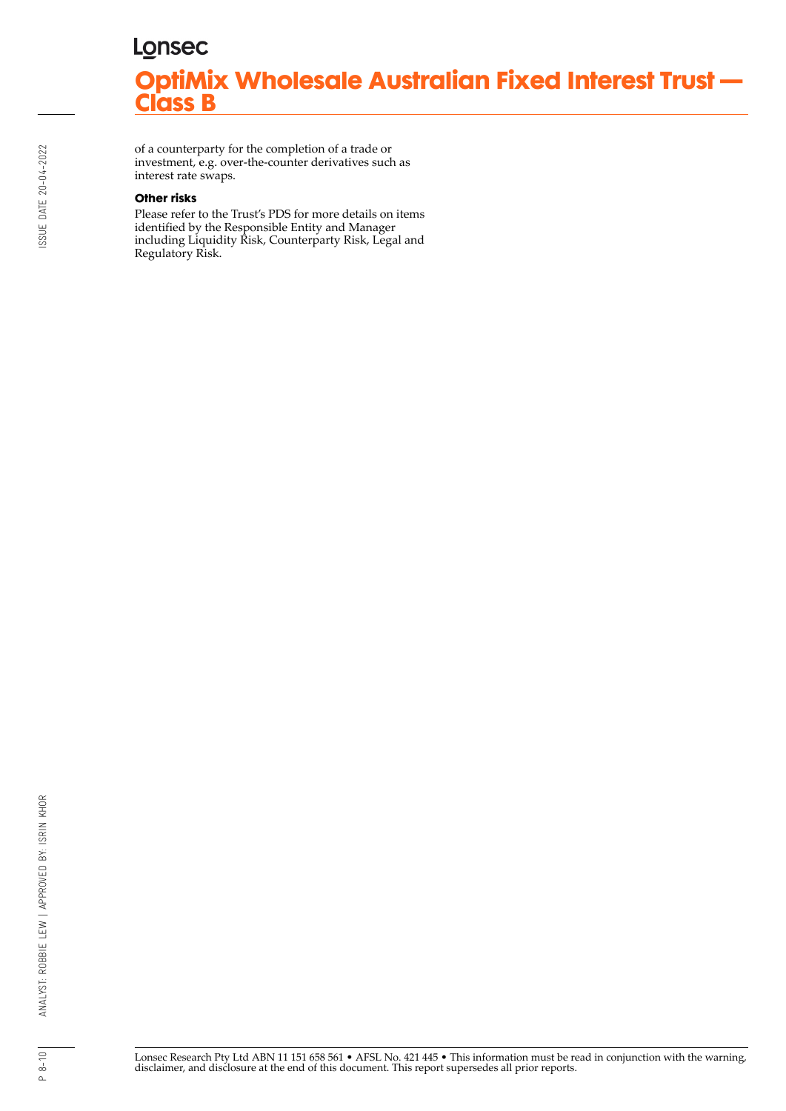of a counterparty for the completion of a trade or investment, e.g. over-the-counter derivatives such as interest rate swaps.

#### **Other risks**

Please refer to the Trust's PDS for more details on items identified by the Responsible Entity and Manager including Liquidity Risk, Counterparty Risk, Legal and Regulatory Risk.

ISSUE DATE 20-04-2022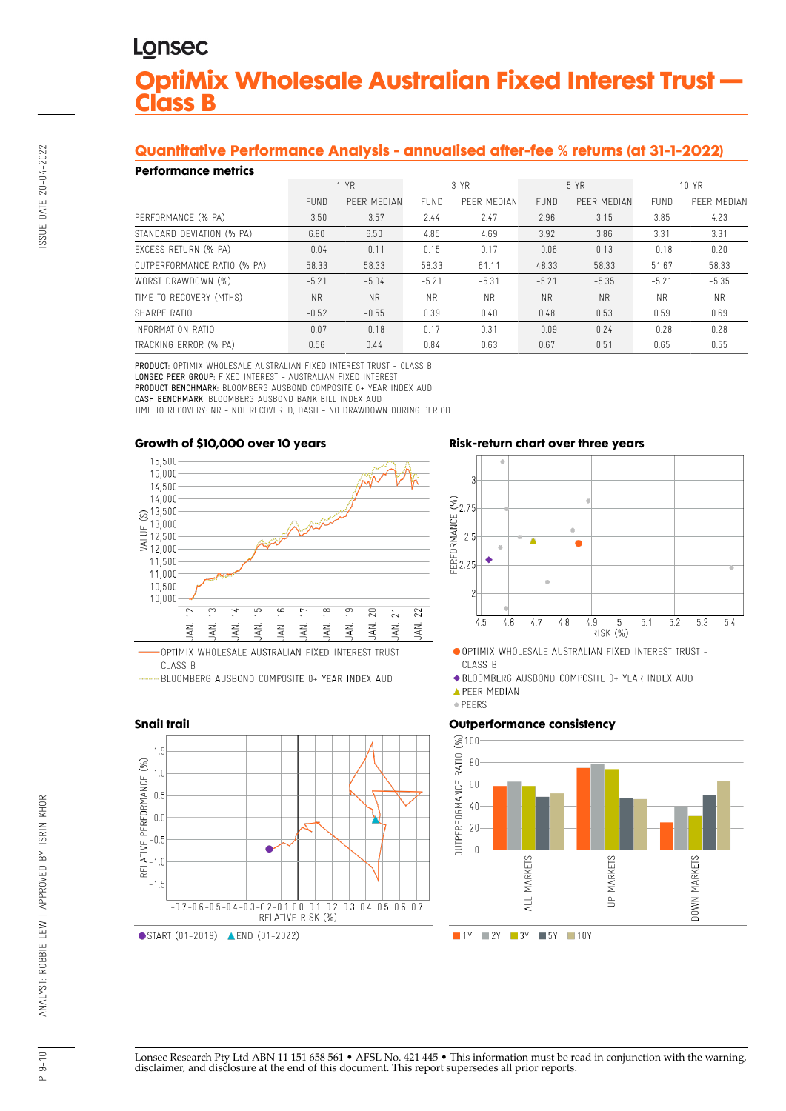# **Quantitative Performance Analysis - annualised after-fee % returns (at 31-1-2022)**

### **Performance metrics**

| геноннансе піспісэ          |             |             |             |             |             |             |             |             |  |  |
|-----------------------------|-------------|-------------|-------------|-------------|-------------|-------------|-------------|-------------|--|--|
|                             | 1 YR        |             | 3 YR        |             | 5 YR        |             | 10 YR       |             |  |  |
|                             | <b>FUND</b> | PEER MEDIAN | <b>FUND</b> | PFFR MEDIAN | <b>FUND</b> | PEER MEDIAN | <b>FUND</b> | PEER MEDIAN |  |  |
| PERFORMANCE (% PA)          | $-3.50$     | $-3.57$     | 2.44        | 2.47        | 2.96        | 3.15        | 3.85        | 4.23        |  |  |
| STANDARD DEVIATION (% PA)   | 6.80        | 6.50        | 4.85        | 4.69        | 3.92        | 3.86        | 3.31        | 3.31        |  |  |
| EXCESS RETURN (% PA)        | $-0.04$     | $-0.11$     | 0.15        | 0.17        | $-0.06$     | 0.13        | $-0.18$     | 0.20        |  |  |
| OUTPERFORMANCE RATIO (% PA) | 58.33       | 58.33       | 58.33       | 61.11       | 48.33       | 58.33       | 51.67       | 58.33       |  |  |
| WORST DRAWDOWN (%)          | $-5.21$     | $-5.04$     | $-5.21$     | $-5.31$     | $-5.21$     | $-5.35$     | $-5.21$     | $-5.35$     |  |  |
| TIME TO RECOVERY (MTHS)     | <b>NR</b>   | <b>NR</b>   | <b>NR</b>   | <b>NR</b>   | <b>NR</b>   | <b>NR</b>   | NR.         | <b>NR</b>   |  |  |
| SHARPE RATIO                | $-0.52$     | $-0.55$     | 0.39        | 0.40        | 0.48        | 0.53        | 0.59        | 0.69        |  |  |
| INFORMATION RATIO           | $-0.07$     | $-0.18$     | 0.17        | 0.31        | $-0.09$     | 0.24        | $-0.28$     | 0.28        |  |  |
| TRACKING ERROR (% PA)       | 0.56        | 0.44        | 0.84        | 0.63        | 0.67        | 0.51        | 0.65        | 0.55        |  |  |

PRODUCT: OPTIMIX WHOLESALE AUSTRALIAN FIXED INTEREST TRUST - CLASS B LONSEC PEER GROUP: FIXED INTEREST - AUSTRALIAN FIXED INTEREST PRODUCT BENCHMARK: BLOOMBERG AUSBOND COMPOSITE 0+ YEAR INDEX AUD CASH BENCHMARK: BLOOMBERG AUSBOND BANK BILL INDEX AUD TIME TO RECOVERY: NR - NOT RECOVERED, DASH - NO DRAWDOWN DURING PERIOD

#### **Growth of \$10,000 over 10 years**



## **Risk-return chart over three years**



OPTIMIX WHOLESALE AUSTRALIAN FIXED INTEREST TRUST -CLASS B

◆ BLOOMBERG AUSBOND COMPOSITE 0+ YEAR INDEX AUD

**APEER MEDIAN** 



### **Outperformance consistency**



SSUE DATE 20-04-2022

# **Snail trail**



Lonsec Research Pty Ltd ABN 11 151 658 561 • AFSL No. 421 445 • This information must be read in conjunction with the warning, disclaimer, and disclosure at the end of this document. This report supersedes all prior reports.